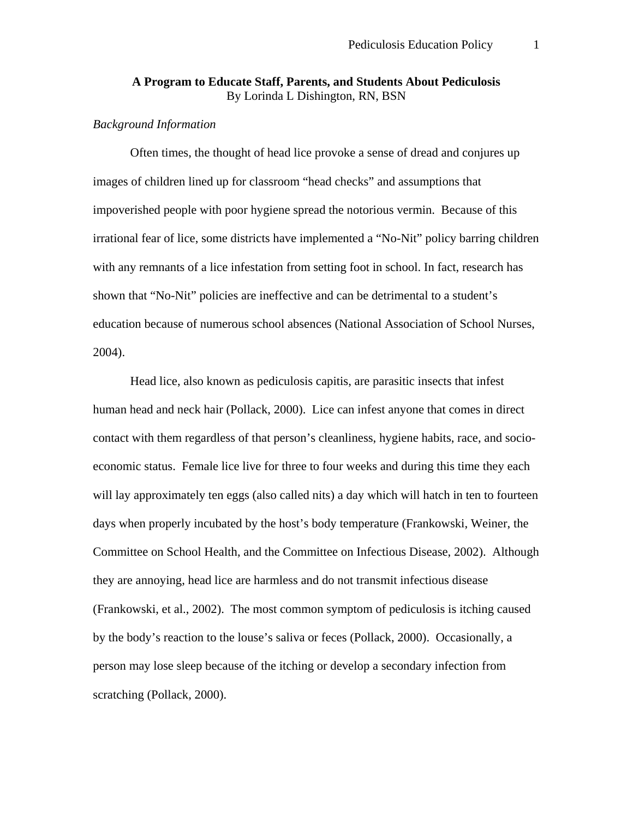### **A Program to Educate Staff, Parents, and Students About Pediculosis**  By Lorinda L Dishington, RN, BSN

#### *Background Information*

 Often times, the thought of head lice provoke a sense of dread and conjures up images of children lined up for classroom "head checks" and assumptions that impoverished people with poor hygiene spread the notorious vermin. Because of this irrational fear of lice, some districts have implemented a "No-Nit" policy barring children with any remnants of a lice infestation from setting foot in school. In fact, research has shown that "No-Nit" policies are ineffective and can be detrimental to a student's education because of numerous school absences (National Association of School Nurses, 2004).

 Head lice, also known as pediculosis capitis, are parasitic insects that infest human head and neck hair (Pollack, 2000). Lice can infest anyone that comes in direct contact with them regardless of that person's cleanliness, hygiene habits, race, and socioeconomic status. Female lice live for three to four weeks and during this time they each will lay approximately ten eggs (also called nits) a day which will hatch in ten to fourteen days when properly incubated by the host's body temperature (Frankowski, Weiner, the Committee on School Health, and the Committee on Infectious Disease, 2002). Although they are annoying, head lice are harmless and do not transmit infectious disease (Frankowski, et al., 2002). The most common symptom of pediculosis is itching caused by the body's reaction to the louse's saliva or feces (Pollack, 2000). Occasionally, a person may lose sleep because of the itching or develop a secondary infection from scratching (Pollack, 2000).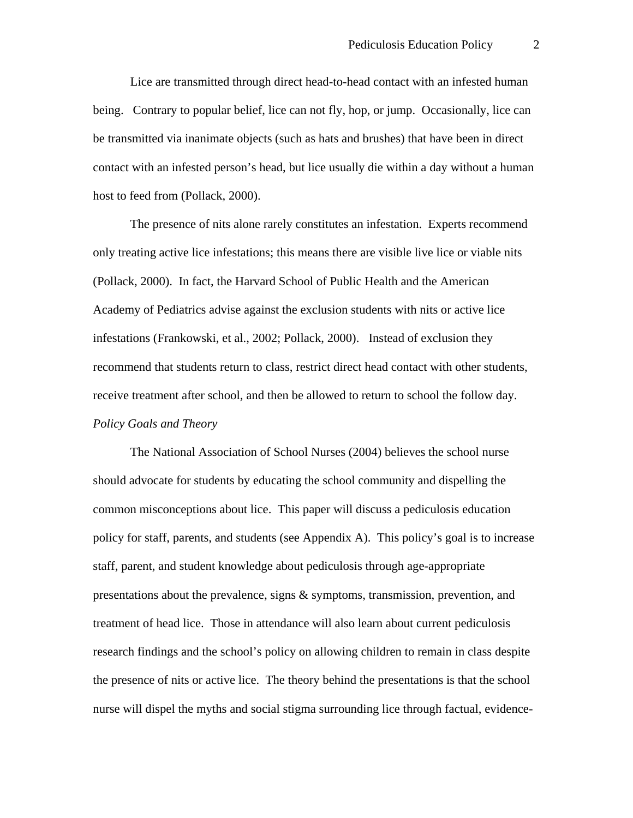Lice are transmitted through direct head-to-head contact with an infested human being. Contrary to popular belief, lice can not fly, hop, or jump. Occasionally, lice can be transmitted via inanimate objects (such as hats and brushes) that have been in direct contact with an infested person's head, but lice usually die within a day without a human host to feed from (Pollack, 2000).

 The presence of nits alone rarely constitutes an infestation. Experts recommend only treating active lice infestations; this means there are visible live lice or viable nits (Pollack, 2000). In fact, the Harvard School of Public Health and the American Academy of Pediatrics advise against the exclusion students with nits or active lice infestations (Frankowski, et al., 2002; Pollack, 2000). Instead of exclusion they recommend that students return to class, restrict direct head contact with other students, receive treatment after school, and then be allowed to return to school the follow day. *Policy Goals and Theory* 

 The National Association of School Nurses (2004) believes the school nurse should advocate for students by educating the school community and dispelling the common misconceptions about lice. This paper will discuss a pediculosis education policy for staff, parents, and students (see Appendix A). This policy's goal is to increase staff, parent, and student knowledge about pediculosis through age-appropriate presentations about the prevalence, signs & symptoms, transmission, prevention, and treatment of head lice. Those in attendance will also learn about current pediculosis research findings and the school's policy on allowing children to remain in class despite the presence of nits or active lice. The theory behind the presentations is that the school nurse will dispel the myths and social stigma surrounding lice through factual, evidence-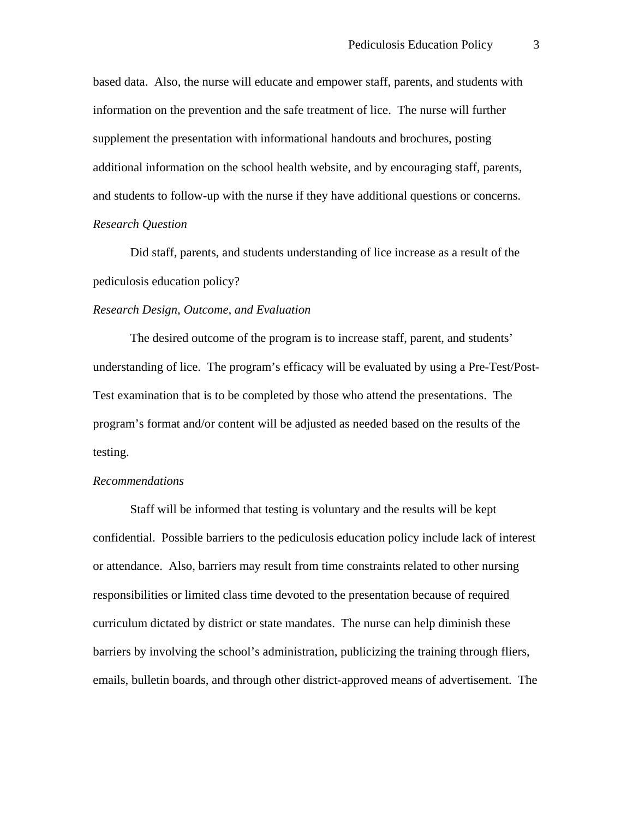based data. Also, the nurse will educate and empower staff, parents, and students with information on the prevention and the safe treatment of lice. The nurse will further supplement the presentation with informational handouts and brochures, posting additional information on the school health website, and by encouraging staff, parents, and students to follow-up with the nurse if they have additional questions or concerns. *Research Question* 

Did staff, parents, and students understanding of lice increase as a result of the pediculosis education policy?

#### *Research Design, Outcome, and Evaluation*

 The desired outcome of the program is to increase staff, parent, and students' understanding of lice. The program's efficacy will be evaluated by using a Pre-Test/Post-Test examination that is to be completed by those who attend the presentations. The program's format and/or content will be adjusted as needed based on the results of the testing.

#### *Recommendations*

Staff will be informed that testing is voluntary and the results will be kept confidential. Possible barriers to the pediculosis education policy include lack of interest or attendance. Also, barriers may result from time constraints related to other nursing responsibilities or limited class time devoted to the presentation because of required curriculum dictated by district or state mandates. The nurse can help diminish these barriers by involving the school's administration, publicizing the training through fliers, emails, bulletin boards, and through other district-approved means of advertisement. The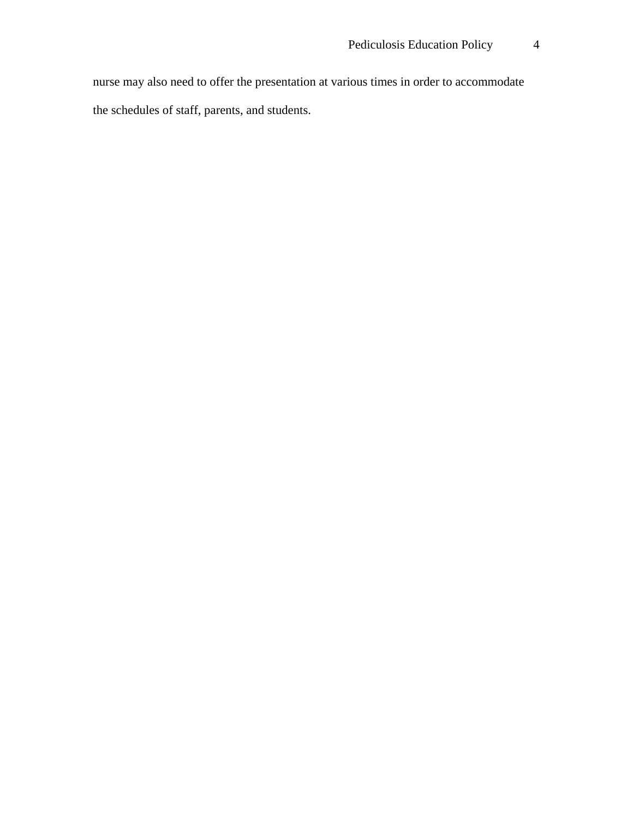nurse may also need to offer the presentation at various times in order to accommodate the schedules of staff, parents, and students.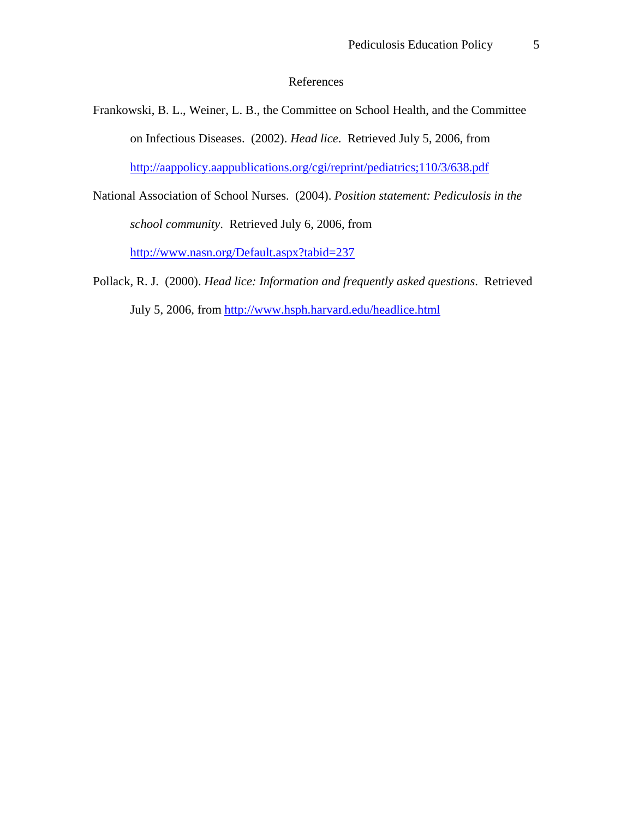## References

- Frankowski, B. L., Weiner, L. B., the Committee on School Health, and the Committee on Infectious Diseases. (2002). *Head lice*. Retrieved July 5, 2006, from <http://aappolicy.aappublications.org/cgi/reprint/pediatrics;110/3/638.pdf>
- National Association of School Nurses. (2004). *Position statement: Pediculosis in the school community*. Retrieved July 6, 2006, from <http://www.nasn.org/Default.aspx?tabid=237>
- Pollack, R. J. (2000). *Head lice: Information and frequently asked questions*. Retrieved July 5, 2006, from<http://www.hsph.harvard.edu/headlice.html>